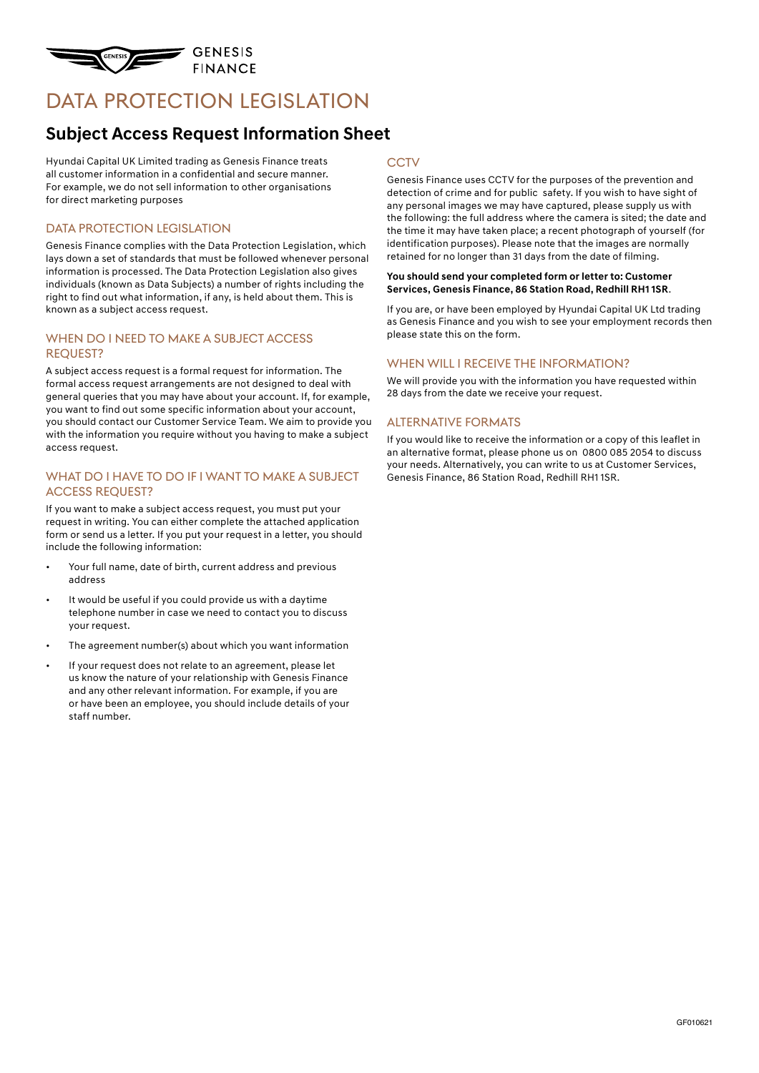

# DATA PROTECTION LEGISLATION

### **Subject Access Request Information Sheet**

Hyundai Capital UK Limited trading as Genesis Finance treats all customer information in a confidential and secure manner. For example, we do not sell information to other organisations for direct marketing purposes

#### DATA PROTECTION LEGISLATION

Genesis Finance complies with the Data Protection Legislation, which lays down a set of standards that must be followed whenever personal information is processed. The Data Protection Legislation also gives individuals (known as Data Subjects) a number of rights including the right to find out what information, if any, is held about them. This is known as a subject access request.

#### WHEN DO I NEED TO MAKE A SUBJECT ACCESS Request?

A subject access request is a formal request for information. The formal access request arrangements are not designed to deal with general queries that you may have about your account. If, for example, you want to find out some specific information about your account, you should contact our Customer Service Team. We aim to provide you with the information you require without you having to make a subject access request.

#### WHAT DO I HAVE TO DO IF I WANT TO MAKE A SUBJECT Access Request?

If you want to make a subject access request, you must put your request in writing. You can either complete the attached application form or send us a letter. If you put your request in a letter, you should include the following information:

- Your full name, date of birth, current address and previous address
- It would be useful if you could provide us with a daytime telephone number in case we need to contact you to discuss your request.
- The agreement number(s) about which you want information
- If your request does not relate to an agreement, please let us know the nature of your relationship with Genesis Finance and any other relevant information. For example, if you are or have been an employee, you should include details of your staff number.

#### **CCTV**

Genesis Finance uses CCTV for the purposes of the prevention and detection of crime and for public safety. If you wish to have sight of any personal images we may have captured, please supply us with the following: the full address where the camera is sited; the date and the time it may have taken place; a recent photograph of yourself (for identification purposes). Please note that the images are normally retained for no longer than 31 days from the date of filming.

#### **You should send your completed form or letter to: Customer Services, Genesis Finance, 86 Station Road, Redhill RH1 1SR**.

If you are, or have been employed by Hyundai Capital UK Ltd trading as Genesis Finance and you wish to see your employment records then please state this on the form.

#### WHEN WILL I RECEIVE THE INFORMATION?

We will provide you with the information you have requested within 28 days from the date we receive your request.

#### Alternative formats

If you would like to receive the information or a copy of this leaflet in an alternative format, please phone us on 0800 085 2054 to discuss your needs. Alternatively, you can write to us at Customer Services, Genesis Finance, 86 Station Road, Redhill RH1 1SR.